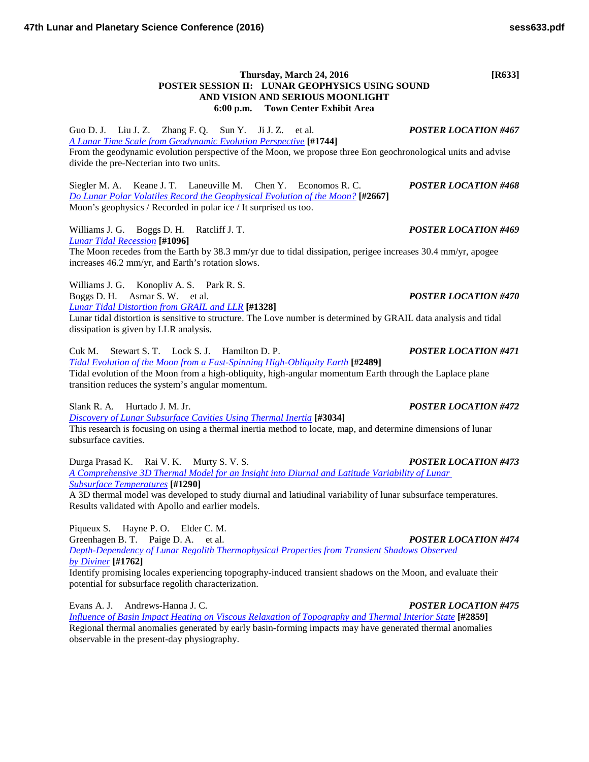Guo D. J. Liu J. Z. Zhang F. Q. Sun Y. Ji J. Z. et al. *POSTER LOCATION #467 [A Lunar Time Scale from Geodynamic Evolution](http://www.hou.usra.edu/meetings/lpsc2016/pdf/1744.pdf) Perspective* **[#1744]** From the geodynamic evolution perspective of the Moon, we propose three Eon geochronological units and advise divide the pre-Necterian into two units.

Siegler M. A. Keane J. T. Laneuville M. Chen Y. Economos R. C. *POSTER LOCATION #468 [Do Lunar Polar Volatiles Record the Geophysical Evolution of the](http://www.hou.usra.edu/meetings/lpsc2016/pdf/2667.pdf) Moon?* **[#2667]** Moon's geophysics / Recorded in polar ice / It surprised us too.

Williams J. G. Boggs D. H. Ratcliff J. T. *POSTER LOCATION #469 [Lunar Tidal](http://www.hou.usra.edu/meetings/lpsc2016/pdf/1096.pdf) Recession* **[#1096]**

The Moon recedes from the Earth by 38.3 mm/yr due to tidal dissipation, perigee increases 30.4 mm/yr, apogee increases 46.2 mm/yr, and Earth's rotation slows.

Williams J. G. Konopliv A. S. Park R. S. Boggs D. H. Asmar S. W. et al. *POSTER LOCATION #470 [Lunar Tidal Distortion from GRAIL and](http://www.hou.usra.edu/meetings/lpsc2016/pdf/1328.pdf) LLR* **[#1328]**

Lunar tidal distortion is sensitive to structure. The Love number is determined by GRAIL data analysis and tidal dissipation is given by LLR analysis.

Cuk M. Stewart S. T. Lock S. J. Hamilton D. P. *POSTER LOCATION #471 [Tidal Evolution of the Moon from a Fast-Spinning High-Obliquity](http://www.hou.usra.edu/meetings/lpsc2016/pdf/2489.pdf) Earth* **[#2489]** Tidal evolution of the Moon from a high-obliquity, high-angular momentum Earth through the Laplace plane transition reduces the system's angular momentum.

Slank R. A. Hurtado J. M. Jr. *POSTER LOCATION #472*

*[Discovery of Lunar Subsurface Cavities Using Thermal](http://www.hou.usra.edu/meetings/lpsc2016/pdf/3034.pdf) Inertia* **[#3034]** This research is focusing on using a thermal inertia method to locate, map, and determine dimensions of lunar subsurface cavities.

Durga Prasad K. Rai V. K. Murty S. V. S. *POSTER LOCATION #473 [A Comprehensive 3D Thermal Model for an Insight into Diurnal and Latitude Variability of Lunar](http://www.hou.usra.edu/meetings/lpsc2016/pdf/1290.pdf)  Subsurface [Temperatures](http://www.hou.usra.edu/meetings/lpsc2016/pdf/1290.pdf)* **[#1290]**

A 3D thermal model was developed to study diurnal and latiudinal variability of lunar subsurface temperatures. Results validated with Apollo and earlier models.

Piqueux S. Hayne P. O. Elder C. M.

Greenhagen B. T. Paige D. A. et al. *POSTER LOCATION #474 [Depth-Dependency of Lunar Regolith Thermophysical Properties from Transient Shadows Observed](http://www.hou.usra.edu/meetings/lpsc2016/pdf/1762.pdf)  by [Diviner](http://www.hou.usra.edu/meetings/lpsc2016/pdf/1762.pdf)* **[#1762]**

Identify promising locales experiencing topography-induced transient shadows on the Moon, and evaluate their potential for subsurface regolith characterization.

Evans A. J. Andrews-Hanna J. C. *POSTER LOCATION #475*

*[Influence of Basin Impact Heating on Viscous Relaxation of Topography and Thermal Interior](http://www.hou.usra.edu/meetings/lpsc2016/pdf/2859.pdf) State* **[#2859]** Regional thermal anomalies generated by early basin-forming impacts may have generated thermal anomalies observable in the present-day physiography.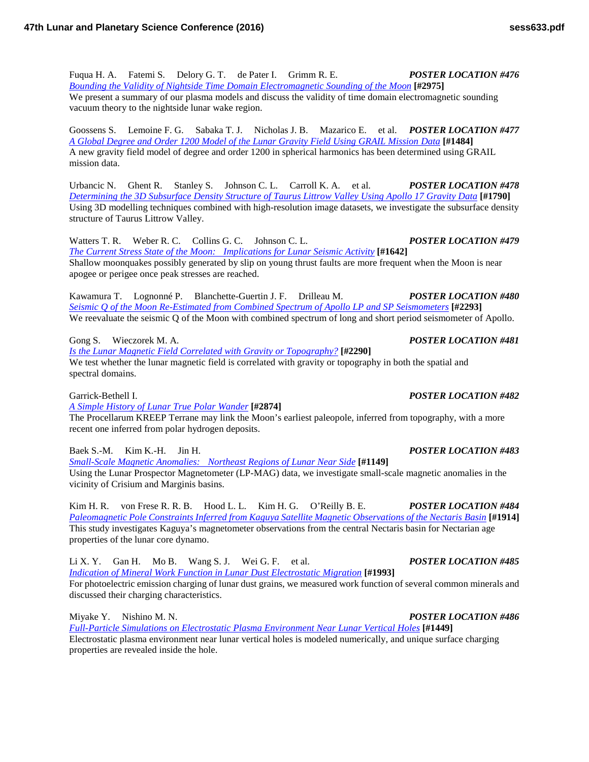Fuqua H. A. Fatemi S. Delory G. T. de Pater I. Grimm R. E. *POSTER LOCATION #476 [Bounding the Validity of Nightside Time Domain Electromagnetic Sounding of the](http://www.hou.usra.edu/meetings/lpsc2016/pdf/2975.pdf) Moon* **[#2975]** We present a summary of our plasma models and discuss the validity of time domain electromagnetic sounding vacuum theory to the nightside lunar wake region.

Goossens S. Lemoine F. G. Sabaka T. J. Nicholas J. B. Mazarico E. et al. *POSTER LOCATION #477 [A Global Degree and Order 1200 Model of the Lunar Gravity Field Using GRAIL Mission](http://www.hou.usra.edu/meetings/lpsc2016/pdf/1484.pdf) Data* [#1484] A new gravity field model of degree and order 1200 in spherical harmonics has been determined using GRAIL mission data.

Urbancic N. Ghent R. Stanley S. Johnson C. L. Carroll K. A. et al. *POSTER LOCATION #478 [Determining the 3D Subsurface Density Structure of Taurus Littrow Valley Using Apollo 17 Gravity](http://www.hou.usra.edu/meetings/lpsc2016/pdf/1790.pdf) Data* **[#1790]** Using 3D modelling techniques combined with high-resolution image datasets, we investigate the subsurface density structure of Taurus Littrow Valley.

Watters T. R. Weber R. C. Collins G. C. Johnson C. L. *POSTER LOCATION #479 [The Current Stress State of the Moon: Implications for Lunar Seismic](http://www.hou.usra.edu/meetings/lpsc2016/pdf/1642.pdf) Activity* **[#1642]** Shallow moonquakes possibly generated by slip on young thrust faults are more frequent when the Moon is near apogee or perigee once peak stresses are reached.

Kawamura T. Lognonné P. Blanchette-Guertin J. F. Drilleau M. *POSTER LOCATION #480 Seismic [Q of the Moon Re-Estimated from Combined Spectrum of Apollo LP and SP](http://www.hou.usra.edu/meetings/lpsc2016/pdf/2293.pdf) Seismometers* **[#2293]** We reevaluate the seismic Q of the Moon with combined spectrum of long and short period seismometer of Apollo.

Gong S. Wieczorek M. A. *POSTER LOCATION #481*

*[Is the Lunar Magnetic Field Correlated with Gravity or](http://www.hou.usra.edu/meetings/lpsc2016/pdf/2290.pdf) Topography?* **[#2290]** We test whether the lunar magnetic field is correlated with gravity or topography in both the spatial and spectral domains.

Garrick-Bethell I. *POSTER LOCATION #482*

*[A Simple History of Lunar True Polar](http://www.hou.usra.edu/meetings/lpsc2016/pdf/2874.pdf) Wander* **[#2874]**

The Procellarum KREEP Terrane may link the Moon's earliest paleopole, inferred from topography, with a more recent one inferred from polar hydrogen deposits.

Baek S.-M. Kim K.-H. Jin H. *POSTER LOCATION #483*

*[Small-Scale Magnetic Anomalies: Northeast Regions of Lunar Near](http://www.hou.usra.edu/meetings/lpsc2016/pdf/1149.pdf) Side* **[#1149]** Using the Lunar Prospector Magnetometer (LP-MAG) data, we investigate small-scale magnetic anomalies in the vicinity of Crisium and Marginis basins.

Kim H. R. von Frese R. R. B. Hood L. L. Kim H. G. O'Reilly B. E. *POSTER LOCATION #484 [Paleomagnetic Pole Constraints Inferred from Kaguya Satellite Magnetic Observations of the Nectaris](http://www.hou.usra.edu/meetings/lpsc2016/pdf/1914.pdf) Basin* **[#1914]** This study investigates Kaguya's magnetometer observations from the central Nectaris basin for Nectarian age properties of the lunar core dynamo.

Li X. Y. Gan H. Mo B. Wang S. J. Wei G. F. et al. *POSTER LOCATION #485 [Indication of Mineral Work Function in Lunar Dust Electrostatic](http://www.hou.usra.edu/meetings/lpsc2016/pdf/1993.pdf) Migration* **[#1993]** For photoelectric emission charging of lunar dust grains, we measured work function of several common minerals and discussed their charging characteristics.

Miyake Y. Nishino M. N. *POSTER LOCATION #486*

*[Full-Particle Simulations on Electrostatic Plasma Environment Near Lunar Vertical](http://www.hou.usra.edu/meetings/lpsc2016/pdf/1449.pdf) Holes* **[#1449]** Electrostatic plasma environment near lunar vertical holes is modeled numerically, and unique surface charging properties are revealed inside the hole.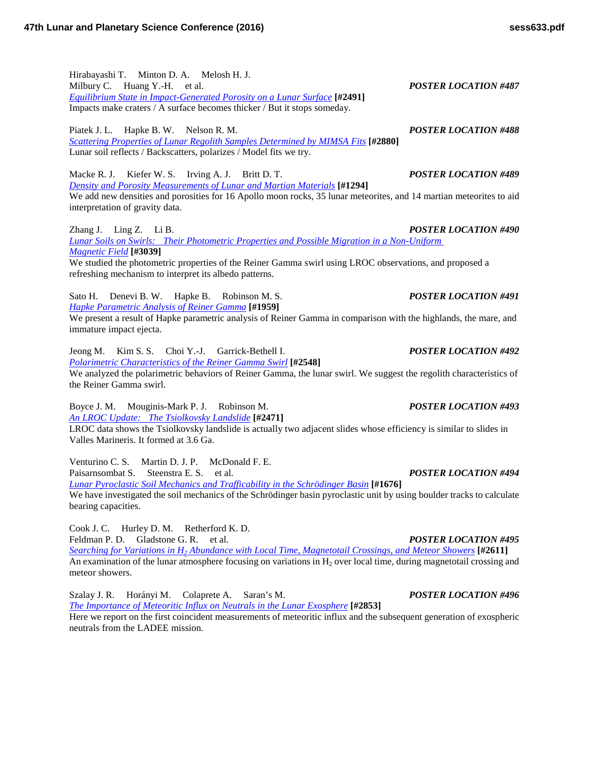Hirabayashi T. Minton D. A. Melosh H. J. Milbury C. Huang Y.-H. et al. *POSTER LOCATION #487 [Equilibrium State in Impact-Generated Porosity on a Lunar](http://www.hou.usra.edu/meetings/lpsc2016/pdf/2491.pdf) Surface* **[#2491]** Impacts make craters / A surface becomes thicker / But it stops someday.

Piatek J. L. Hapke B. W. Nelson R. M. *POSTER LOCATION #488 [Scattering Properties of Lunar Regolith Samples Determined by MIMSA](http://www.hou.usra.edu/meetings/lpsc2016/pdf/2880.pdf) Fits* **[#2880]** Lunar soil reflects / Backscatters, polarizes / Model fits we try.

Macke R. J. Kiefer W. S. Irving A. J. Britt D. T. *POSTER LOCATION #489 [Density and Porosity Measurements of Lunar and Martian](http://www.hou.usra.edu/meetings/lpsc2016/pdf/1294.pdf) Materials* **[#1294]** We add new densities and porosities for 16 Apollo moon rocks, 35 lunar meteorites, and 14 martian meteorites to aid interpretation of gravity data.

Zhang J. Ling Z. Li B. *POSTER LOCATION #490 [Lunar Soils on Swirls: Their Photometric Properties and Possible Migration in a Non-Uniform](http://www.hou.usra.edu/meetings/lpsc2016/pdf/3039.pdf)  [Magnetic](http://www.hou.usra.edu/meetings/lpsc2016/pdf/3039.pdf) Field* **[#3039]**

We studied the photometric properties of the Reiner Gamma swirl using LROC observations, and proposed a refreshing mechanism to interpret its albedo patterns.

Sato H. Denevi B. W. Hapke B. Robinson M. S. *POSTER LOCATION #491 [Hapke Parametric Analysis of Reiner](http://www.hou.usra.edu/meetings/lpsc2016/pdf/1959.pdf) Gamma* **[#1959]**

We present a result of Hapke parametric analysis of Reiner Gamma in comparison with the highlands, the mare, and immature impact ejecta.

Jeong M. Kim S. S. Choi Y.-J. Garrick-Bethell I. *POSTER LOCATION #492 [Polarimetric Characteristics of the Reiner Gamma](http://www.hou.usra.edu/meetings/lpsc2016/pdf/2548.pdf) Swirl* **[#2548]** We analyzed the polarimetric behaviors of Reiner Gamma, the lunar swirl. We suggest the regolith characteristics of the Reiner Gamma swirl.

Boyce J. M. Mouginis-Mark P. J. Robinson M. *POSTER LOCATION #493 An LROC [Update: The Tsiolkovsky](http://www.hou.usra.edu/meetings/lpsc2016/pdf/2471.pdf) Landslide* **[#2471]**

LROC data shows the Tsiolkovsky landslide is actually two adjacent slides whose efficiency is similar to slides in Valles Marineris. It formed at 3.6 Ga.

Venturino C. S. Martin D. J. P. McDonald F. E. Paisarnsombat S. Steenstra E. S. et al. *POSTER LOCATION #494*

*[Lunar Pyroclastic Soil Mechanics and Trafficability in the Schrödinger](http://www.hou.usra.edu/meetings/lpsc2016/pdf/1676.pdf) Basin* **[#1676]** We have investigated the soil mechanics of the Schrödinger basin pyroclastic unit by using boulder tracks to calculate bearing capacities.

Cook J. C. Hurley D. M. Retherford K. D.

Feldman P. D. Gladstone G. R. et al. *POSTER LOCATION #495 Searching for Variations in H2 [Abundance with Local Time, Magnetotail Crossings, and Meteor](http://www.hou.usra.edu/meetings/lpsc2016/pdf/2611.pdf) Showers* **[#2611]** An examination of the lunar atmosphere focusing on variations in  $H_2$  over local time, during magnetotail crossing and meteor showers.

Szalay J. R. Horányi M. Colaprete A. Saran's M. *POSTER LOCATION #496 [The Importance of Meteoritic Influx on Neutrals in the Lunar](http://www.hou.usra.edu/meetings/lpsc2016/pdf/2853.pdf) Exosphere* **[#2853]** Here we report on the first coincident measurements of meteoritic influx and the subsequent generation of exospheric neutrals from the LADEE mission.